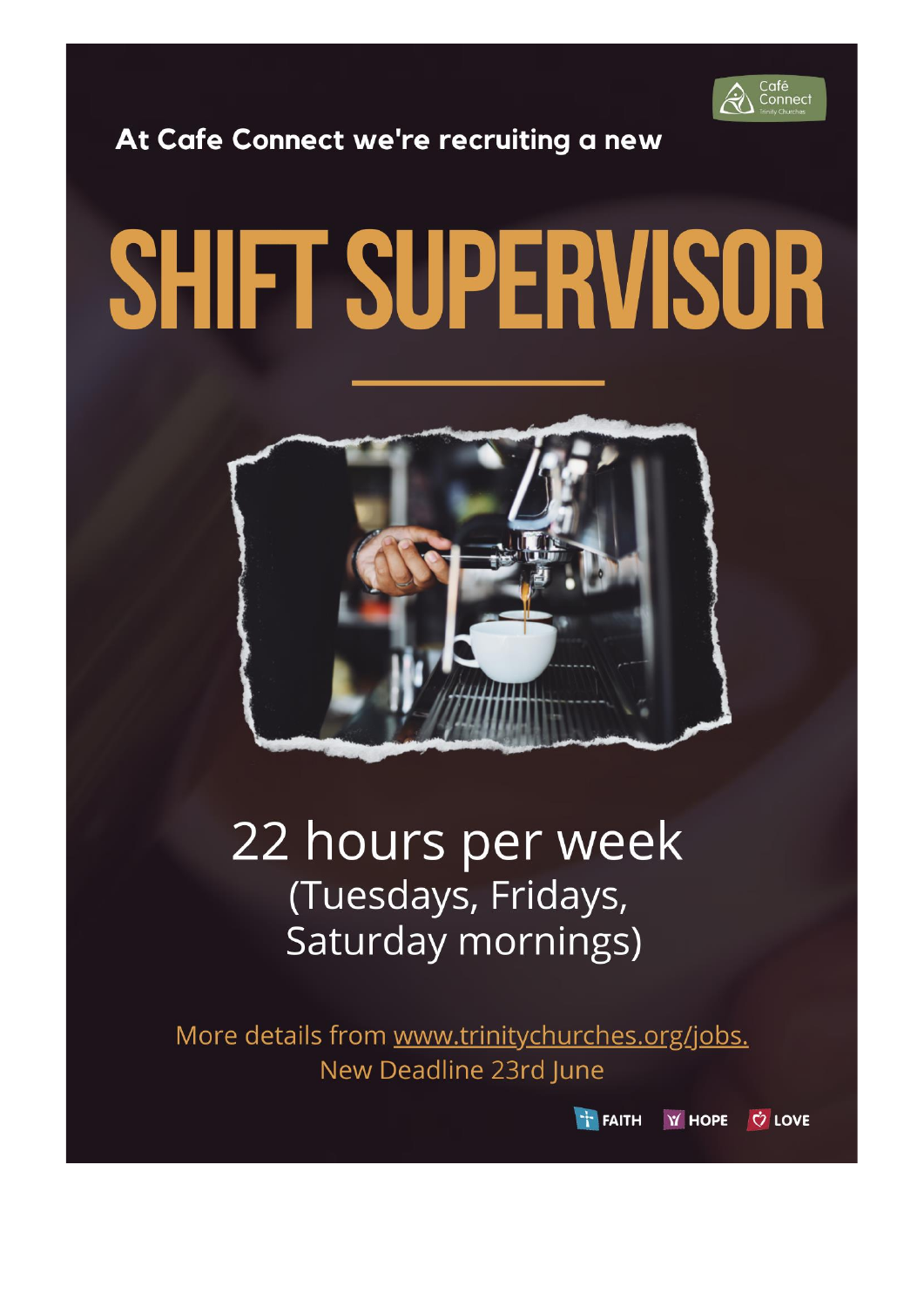

### At Cafe Connect we're recruiting a new

# **SHIFT SUPERVISOR**



# 22 hours per week (Tuesdays, Fridays, Saturday mornings)

More details from www.trinitychurches.org/jobs. New Deadline 23rd June

> **Y** HOPE **COLOVE THE FAITH**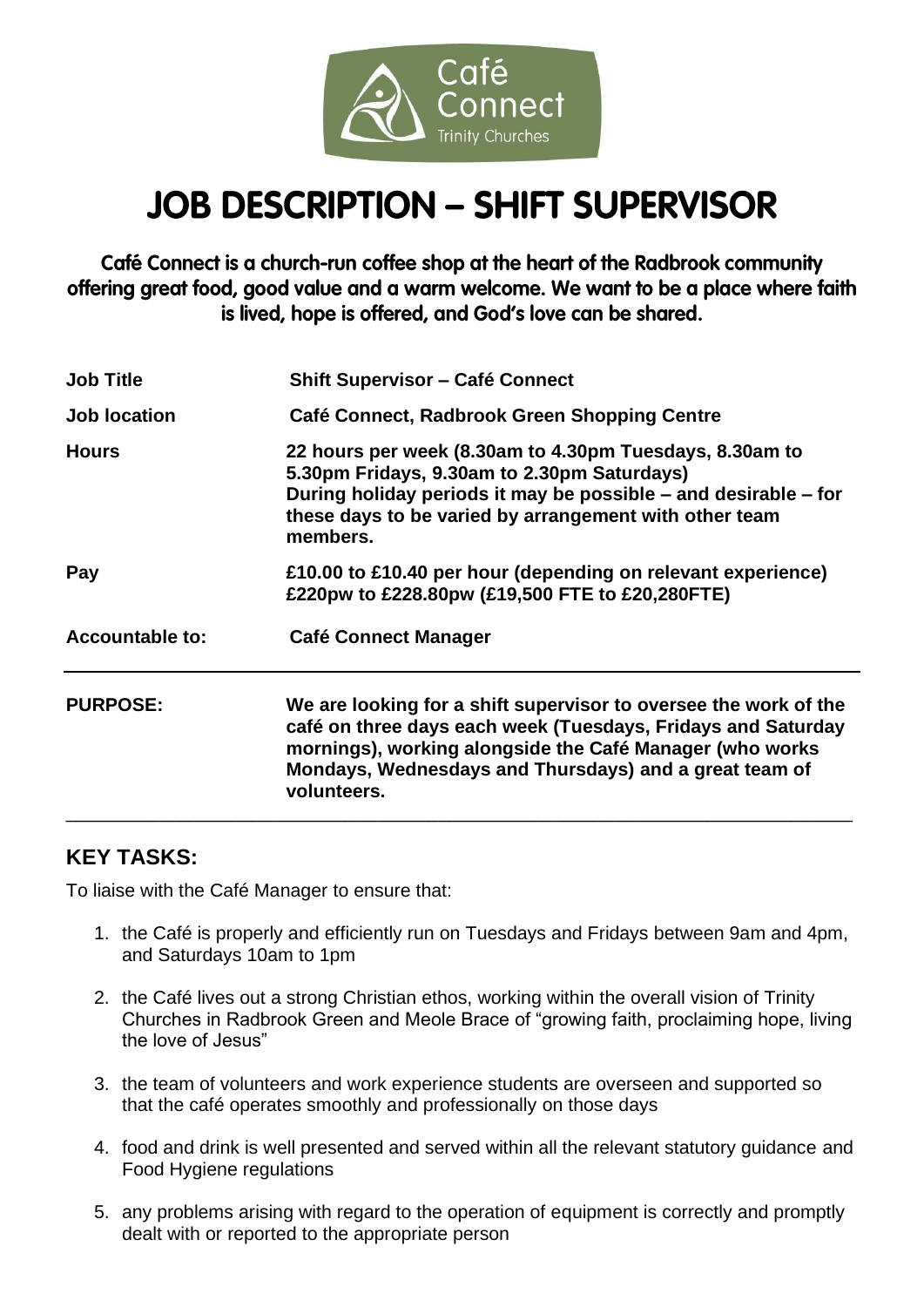

## **JOB DESCRIPTION - SHIFT SUPERVISOR**

Café Connect is a church-run coffee shop at the heart of the Radbrook community offering great food, good value and a warm welcome. We want to be a place where faith is lived, hope is offered, and God's love can be shared.

| <b>Job Title</b>       | <b>Shift Supervisor - Café Connect</b>                                                                                                                                                                                                                                |
|------------------------|-----------------------------------------------------------------------------------------------------------------------------------------------------------------------------------------------------------------------------------------------------------------------|
| <b>Job location</b>    | Café Connect, Radbrook Green Shopping Centre                                                                                                                                                                                                                          |
| <b>Hours</b>           | 22 hours per week (8.30am to 4.30pm Tuesdays, 8.30am to<br>5.30pm Fridays, 9.30am to 2.30pm Saturdays)<br>During holiday periods it may be possible – and desirable – for<br>these days to be varied by arrangement with other team<br>members.                       |
| Pay                    | £10.00 to £10.40 per hour (depending on relevant experience)<br>£220pw to £228.80pw (£19,500 FTE to £20,280FTE)                                                                                                                                                       |
| <b>Accountable to:</b> | <b>Café Connect Manager</b>                                                                                                                                                                                                                                           |
| <b>PURPOSE:</b>        | We are looking for a shift supervisor to oversee the work of the<br>café on three days each week (Tuesdays, Fridays and Saturday<br>mornings), working alongside the Café Manager (who works<br>Mondays, Wednesdays and Thursdays) and a great team of<br>volunteers. |

#### **KEY TASKS:**

To liaise with the Café Manager to ensure that:

- 1. the Café is properly and efficiently run on Tuesdays and Fridays between 9am and 4pm, and Saturdays 10am to 1pm
- 2. the Café lives out a strong Christian ethos, working within the overall vision of Trinity Churches in Radbrook Green and Meole Brace of "growing faith, proclaiming hope, living the love of Jesus"
- 3. the team of volunteers and work experience students are overseen and supported so that the café operates smoothly and professionally on those days
- 4. food and drink is well presented and served within all the relevant statutory guidance and Food Hygiene regulations
- 5. any problems arising with regard to the operation of equipment is correctly and promptly dealt with or reported to the appropriate person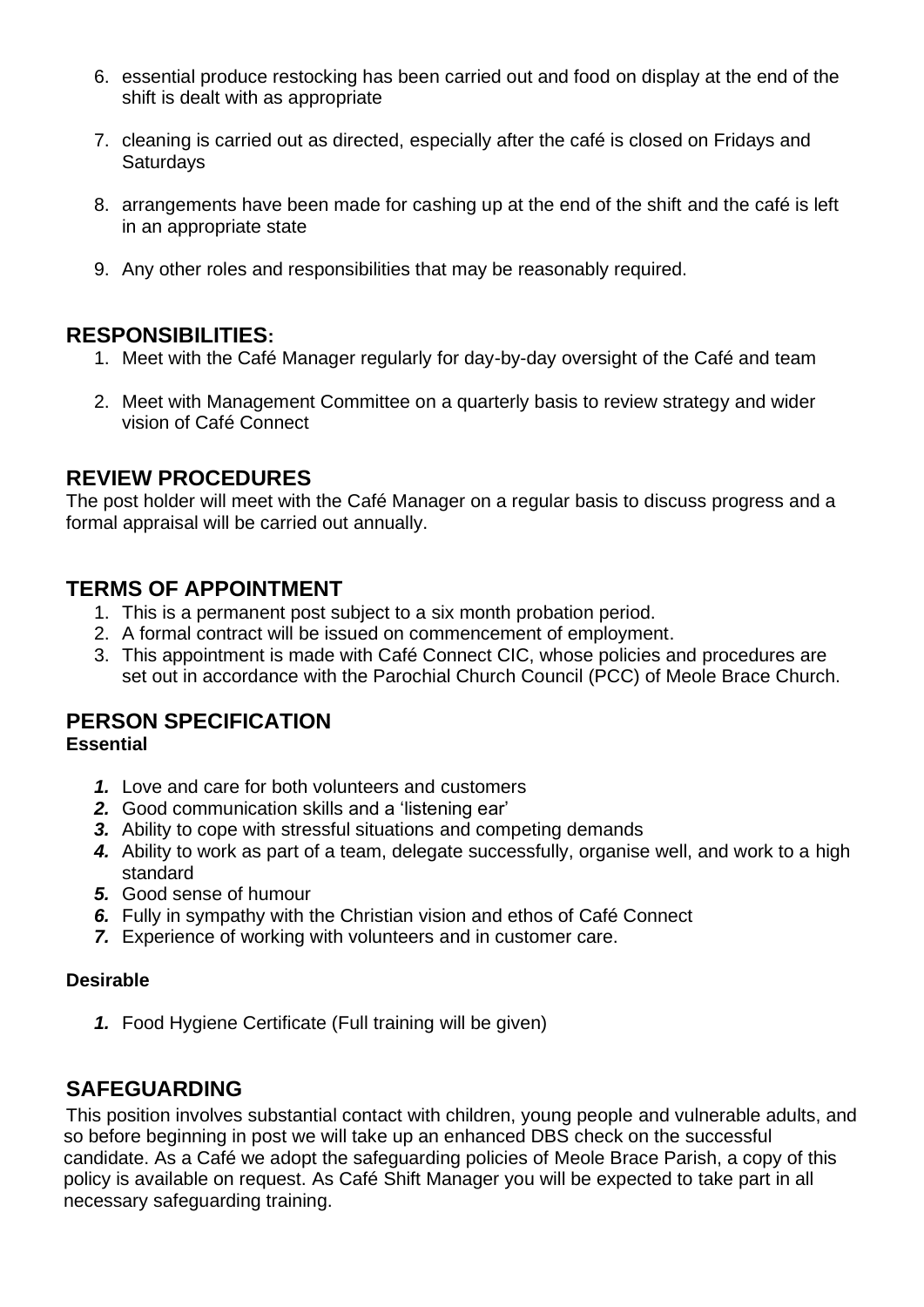- 6. essential produce restocking has been carried out and food on display at the end of the shift is dealt with as appropriate
- 7. cleaning is carried out as directed, especially after the café is closed on Fridays and **Saturdays**
- 8. arrangements have been made for cashing up at the end of the shift and the café is left in an appropriate state
- 9. Any other roles and responsibilities that may be reasonably required.

#### **RESPONSIBILITIES:**

- 1. Meet with the Café Manager regularly for day-by-day oversight of the Café and team
- 2. Meet with Management Committee on a quarterly basis to review strategy and wider vision of Café Connect

#### **REVIEW PROCEDURES**

The post holder will meet with the Café Manager on a regular basis to discuss progress and a formal appraisal will be carried out annually.

#### **TERMS OF APPOINTMENT**

- 1. This is a permanent post subject to a six month probation period.
- 2. A formal contract will be issued on commencement of employment.
- 3. This appointment is made with Café Connect CIC, whose policies and procedures are set out in accordance with the Parochial Church Council (PCC) of Meole Brace Church.

#### **PERSON SPECIFICATION**

#### **Essential**

- *1.* Love and care for both volunteers and customers
- *2.* Good communication skills and a 'listening ear'
- *3.* Ability to cope with stressful situations and competing demands
- *4.* Ability to work as part of a team, delegate successfully, organise well, and work to a high standard
- *5.* Good sense of humour
- *6.* Fully in sympathy with the Christian vision and ethos of Café Connect
- *7.* Experience of working with volunteers and in customer care.

#### **Desirable**

*1.* Food Hygiene Certificate (Full training will be given)

#### **SAFEGUARDING**

This position involves substantial contact with children, young people and vulnerable adults, and so before beginning in post we will take up an enhanced DBS check on the successful candidate. As a Café we adopt the safeguarding policies of Meole Brace Parish, a copy of this policy is available on request. As Café Shift Manager you will be expected to take part in all necessary safeguarding training.